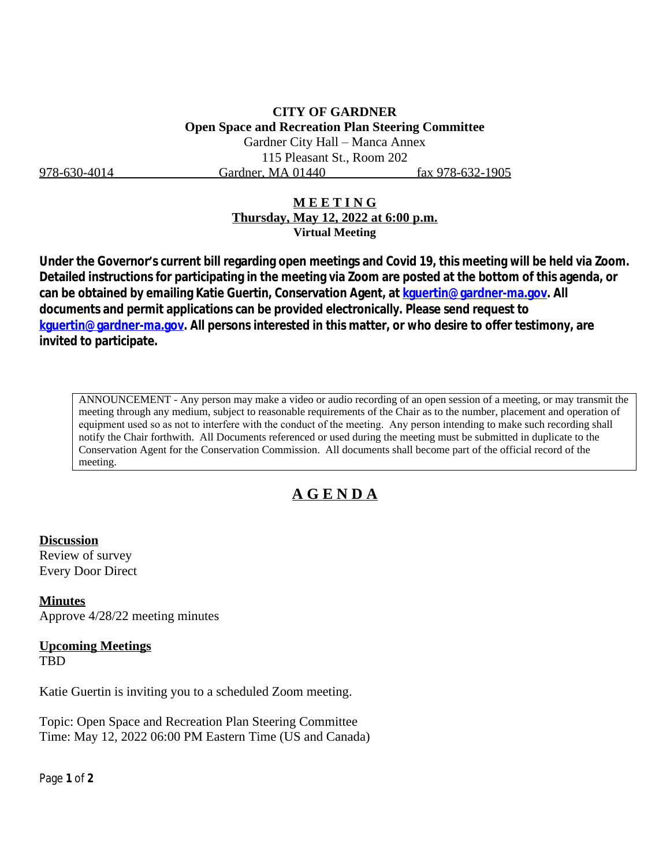978-630-4014 Gardner, MA 01440 fax 978-632-1905

### **M E E T I N G Thursday, May 12, 2022 at 6:00 p.m. Virtual Meeting**

**Under the Governor's current bill regarding open meetings and Covid 19, this meeting will be held via Zoom. Detailed instructions for participating in the meeting via Zoom are posted at the bottom of this agenda, or can be obtained by emailing Katie Guertin, Conservation Agent, at [kguertin@gardner-ma.gov. All](mailto:kguertin@gardner-ma.gov)  [documents and permit applications can be provided electronically. Please send request to](mailto:kguertin@gardner-ma.gov)  [kguertin@gardner-ma.gov.](mailto:kguertin@gardner-ma.gov) All persons interested in this matter, or who desire to offer testimony, are invited to participate.**

ANNOUNCEMENT - Any person may make a video or audio recording of an open session of a meeting, or may transmit the meeting through any medium, subject to reasonable requirements of the Chair as to the number, placement and operation of equipment used so as not to interfere with the conduct of the meeting. Any person intending to make such recording shall notify the Chair forthwith. All Documents referenced or used during the meeting must be submitted in duplicate to the Conservation Agent for the Conservation Commission. All documents shall become part of the official record of the meeting.

# **A G E N D A**

## **Discussion**

Review of survey Every Door Direct

**Minutes** Approve 4/28/22 meeting minutes

#### **Upcoming Meetings** TBD

Katie Guertin is inviting you to a scheduled Zoom meeting.

Topic: Open Space and Recreation Plan Steering Committee Time: May 12, 2022 06:00 PM Eastern Time (US and Canada)

Page **1** of **2**